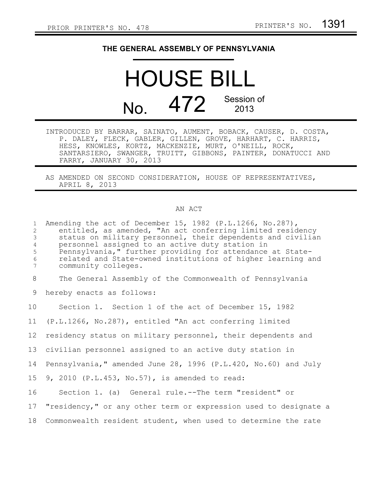## **THE GENERAL ASSEMBLY OF PENNSYLVANIA**

## HOUSE BILL No. 472 Session of 2013

- INTRODUCED BY BARRAR, SAINATO, AUMENT, BOBACK, CAUSER, D. COSTA, P. DALEY, FLECK, GABLER, GILLEN, GROVE, HARHART, C. HARRIS, HESS, KNOWLES, KORTZ, MACKENZIE, MURT, O'NEILL, ROCK, SANTARSIERO, SWANGER, TRUITT, GIBBONS, PAINTER, DONATUCCI AND FARRY, JANUARY 30, 2013
- AS AMENDED ON SECOND CONSIDERATION, HOUSE OF REPRESENTATIVES, APRIL 8, 2013

## AN ACT

| $\mathbf{1}$<br>$\overline{2}$<br>3<br>4<br>$\mathsf S$<br>$\epsilon$<br>$\overline{7}$ | Amending the act of December 15, 1982 (P.L.1266, No.287),<br>entitled, as amended, "An act conferring limited residency<br>status on military personnel, their dependents and civilian<br>personnel assigned to an active duty station in<br>Pennsylvania," further providing for attendance at State-<br>related and State-owned institutions of higher learning and<br>community colleges. |
|-----------------------------------------------------------------------------------------|----------------------------------------------------------------------------------------------------------------------------------------------------------------------------------------------------------------------------------------------------------------------------------------------------------------------------------------------------------------------------------------------|
| 8                                                                                       | The General Assembly of the Commonwealth of Pennsylvania                                                                                                                                                                                                                                                                                                                                     |
| 9                                                                                       | hereby enacts as follows:                                                                                                                                                                                                                                                                                                                                                                    |
| 10                                                                                      | Section 1. Section 1 of the act of December 15, 1982                                                                                                                                                                                                                                                                                                                                         |
| 11                                                                                      | (P.L.1266, No.287), entitled "An act conferring limited                                                                                                                                                                                                                                                                                                                                      |
| 12                                                                                      | residency status on military personnel, their dependents and                                                                                                                                                                                                                                                                                                                                 |
| 13                                                                                      | civilian personnel assigned to an active duty station in                                                                                                                                                                                                                                                                                                                                     |
| 14                                                                                      | Pennsylvania," amended June 28, 1996 (P.L.420, No.60) and July                                                                                                                                                                                                                                                                                                                               |
| 15 <sub>1</sub>                                                                         | 9, 2010 (P.L.453, No.57), is amended to read:                                                                                                                                                                                                                                                                                                                                                |
| 16                                                                                      | Section 1. (a) General rule.--The term "resident" or                                                                                                                                                                                                                                                                                                                                         |
| 17                                                                                      | "residency," or any other term or expression used to designate a                                                                                                                                                                                                                                                                                                                             |
| 18                                                                                      | Commonwealth resident student, when used to determine the rate                                                                                                                                                                                                                                                                                                                               |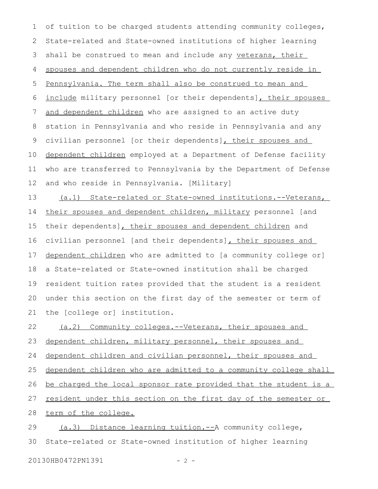of tuition to be charged students attending community colleges, State-related and State-owned institutions of higher learning shall be construed to mean and include any veterans, their spouses and dependent children who do not currently reside in Pennsylvania. The term shall also be construed to mean and include military personnel [or their dependents], their spouses and dependent children who are assigned to an active duty station in Pennsylvania and who reside in Pennsylvania and any civilian personnel [or their dependents], their spouses and dependent children employed at a Department of Defense facility who are transferred to Pennsylvania by the Department of Defense and who reside in Pennsylvania. [Military] 1 2 3 4 5 6 7 8 9 10 11 12

 (a.1) State-related or State-owned institutions.-- Veterans, their spouses and dependent children, military personnel [and their dependents], their spouses and dependent children and civilian personnel [and their dependents]**,** their spouses and dependent children who are admitted to [a community college or] a State-related or State-owned institution shall be charged resident tuition rates provided that the student is a resident under this section on the first day of the semester or term of the [college or] institution. 13 14 15 16 17 18 19 20 21

(a.2) Community colleges.--Veterans, their spouses and dependent children, military personnel, their spouses and dependent children and civilian personnel, their spouses and dependent children who are admitted to a community college shall be charged the local sponsor rate provided that the student is a resident under this section on the first day of the semester or term of the college. (a.3) Distance learning tuition.--A community college, State-related or State-owned institution of higher learning 22 23 24 25 26 27 28 29 30

20130HB0472PN1391 - 2 -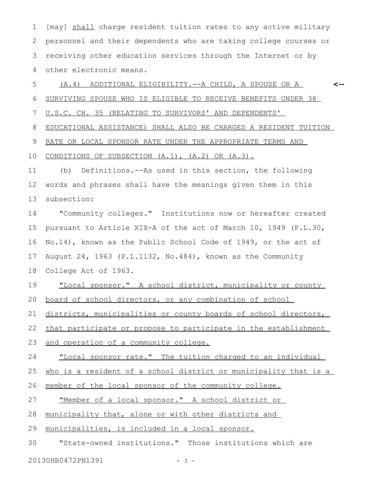[may] shall charge resident tuition rates to any active military personnel and their dependents who are taking college courses or receiving other education services through the Internet or by other electronic means. 1 2 3 4

(A.4) ADDITIONAL ELIGIBILITY.--A CHILD, A SPOUSE OR A SURVIVING SPOUSE WHO IS ELIGIBLE TO RECEIVE BENEFITS UNDER 38 **<--** 5 6

U.S.C. CH. 35 (RELATING TO SURVIVORS' AND DEPENDENTS' 7

EDUCATIONAL ASSISTANCE) SHALL ALSO BE CHARGED A RESIDENT TUITION 8

RATE OR LOCAL SPONSOR RATE UNDER THE APPROPRIATE TERMS AND 9

CONDITIONS OF SUBSECTION (A.1), (A.2) OR (A.3). 10

(b) Definitions.--As used in this section, the following words and phrases shall have the meanings given them in this subsection: 11 12 13

"Community colleges." Institutions now or hereafter created pursuant to Article XIX-A of the act of March 10, 1949 (P.L.30, No.14), known as the Public School Code of 1949, or the act of August 24, 1963 (P.L.1132, No.484), known as the Community College Act of 1963. 14 15 16 17 18

"Local sponsor." A school district, municipality or county board of school directors, or any combination of school 19 20

districts, municipalities or county boards of school directors, 21

that participate or propose to participate in the establishment 22

and operation of a community college. 23

"Local sponsor rate." The tuition charged to an individual 24

who is a resident of a school district or municipality that is a 25

member of the local sponsor of the community college. 26

"Member of a local sponsor." A school district or 27

municipality that, alone or with other districts and 28

municipalities, is included in a local sponsor. 29

"State-owned institutions." Those institutions which are 20130HB0472PN1391 - 3 -30